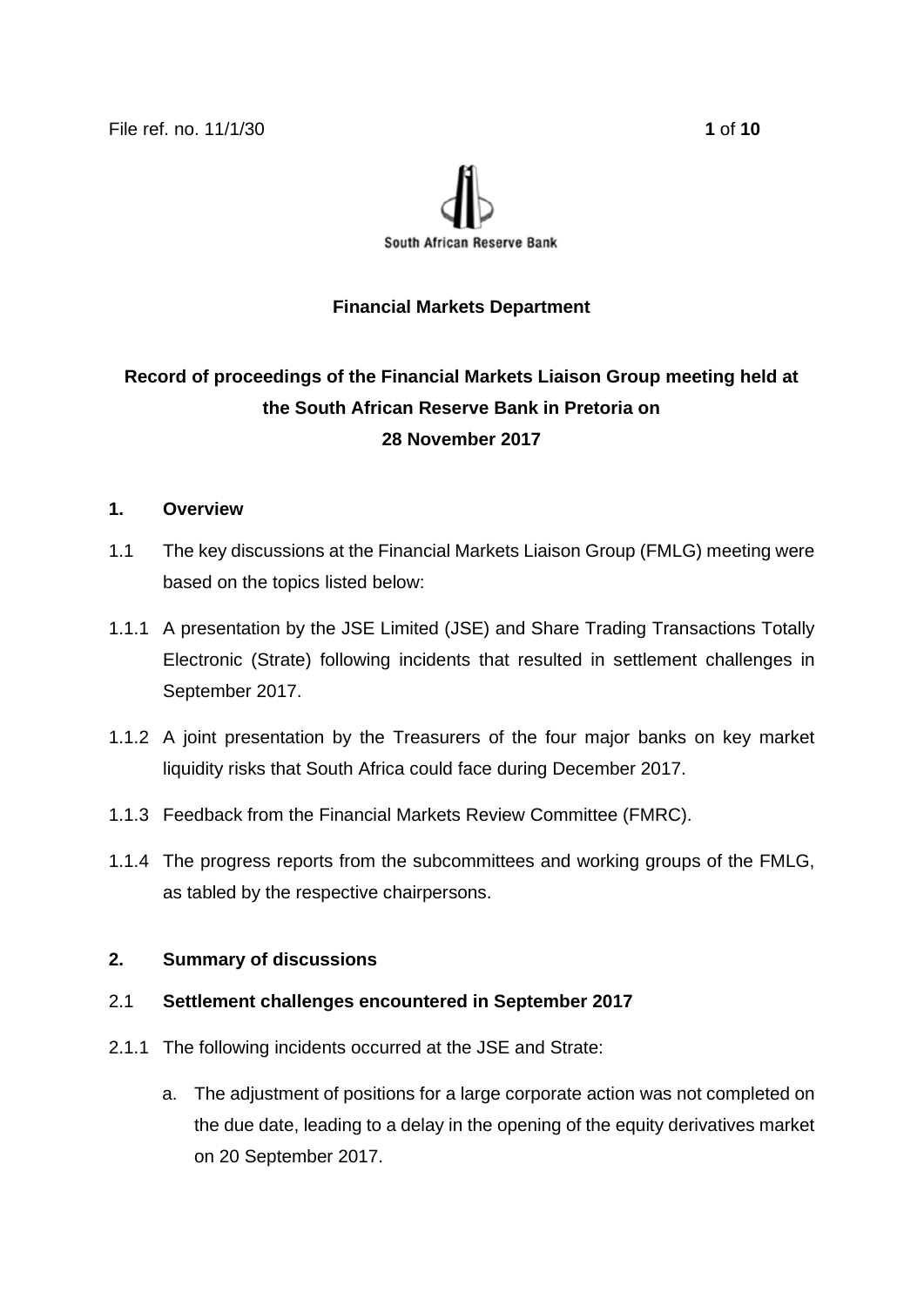

# **Financial Markets Department**

# **Record of proceedings of the Financial Markets Liaison Group meeting held at the South African Reserve Bank in Pretoria on 28 November 2017**

# **1. Overview**

- 1.1 The key discussions at the Financial Markets Liaison Group (FMLG) meeting were based on the topics listed below:
- 1.1.1 A presentation by the JSE Limited (JSE) and Share Trading Transactions Totally Electronic (Strate) following incidents that resulted in settlement challenges in September 2017.
- 1.1.2 A joint presentation by the Treasurers of the four major banks on key market liquidity risks that South Africa could face during December 2017.
- 1.1.3 Feedback from the Financial Markets Review Committee (FMRC).
- 1.1.4 The progress reports from the subcommittees and working groups of the FMLG, as tabled by the respective chairpersons.

# **2. Summary of discussions**

# 2.1 **Settlement challenges encountered in September 2017**

- 2.1.1 The following incidents occurred at the JSE and Strate:
	- a. The adjustment of positions for a large corporate action was not completed on the due date, leading to a delay in the opening of the equity derivatives market on 20 September 2017.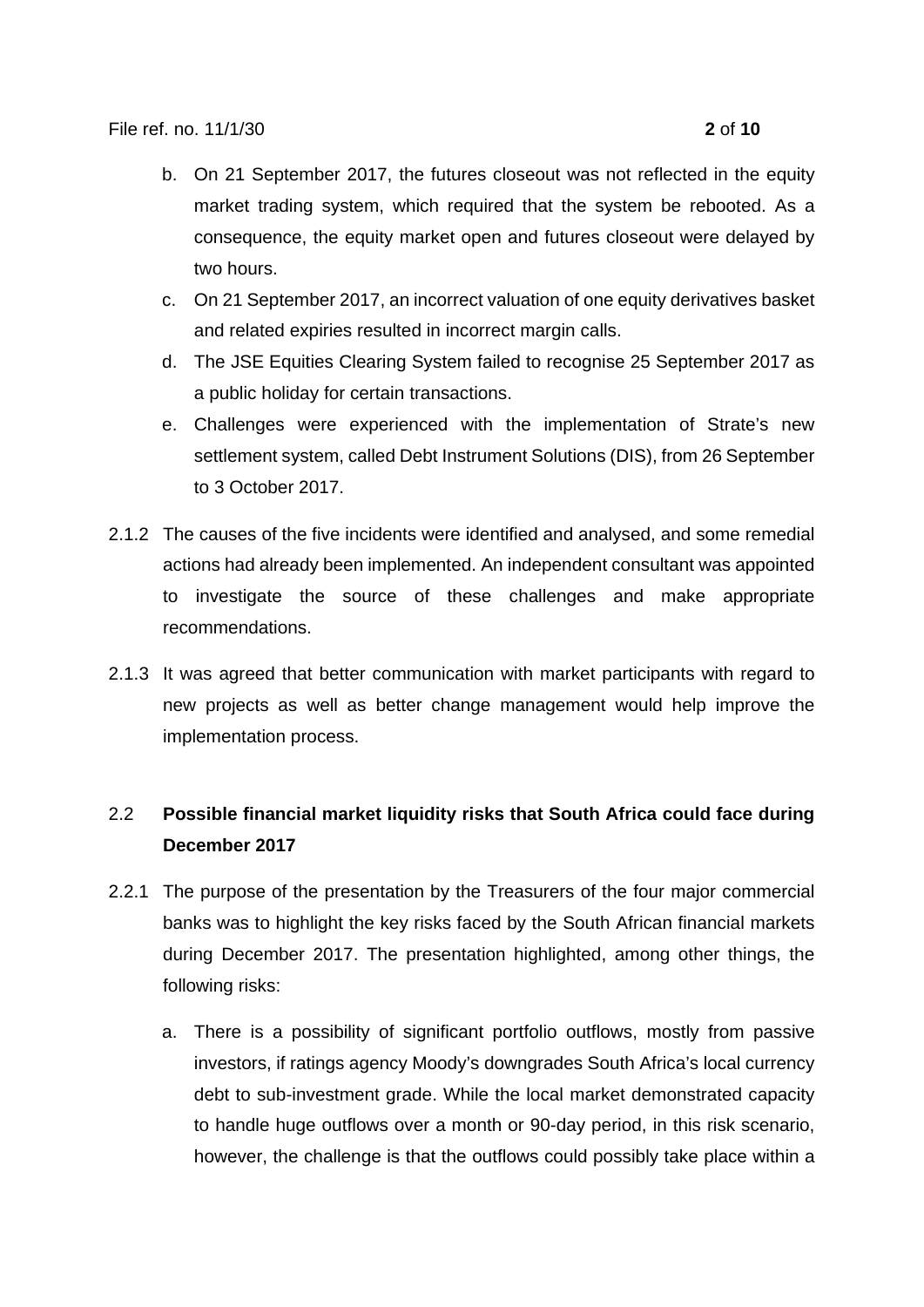- b. On 21 September 2017, the futures closeout was not reflected in the equity market trading system, which required that the system be rebooted. As a consequence, the equity market open and futures closeout were delayed by two hours.
- c. On 21 September 2017, an incorrect valuation of one equity derivatives basket and related expiries resulted in incorrect margin calls.
- d. The JSE Equities Clearing System failed to recognise 25 September 2017 as a public holiday for certain transactions.
- e. Challenges were experienced with the implementation of Strate's new settlement system, called Debt Instrument Solutions (DIS), from 26 September to 3 October 2017.
- 2.1.2 The causes of the five incidents were identified and analysed, and some remedial actions had already been implemented. An independent consultant was appointed to investigate the source of these challenges and make appropriate recommendations.
- 2.1.3 It was agreed that better communication with market participants with regard to new projects as well as better change management would help improve the implementation process.

# 2.2 **Possible financial market liquidity risks that South Africa could face during December 2017**

- 2.2.1 The purpose of the presentation by the Treasurers of the four major commercial banks was to highlight the key risks faced by the South African financial markets during December 2017. The presentation highlighted, among other things, the following risks:
	- a. There is a possibility of significant portfolio outflows, mostly from passive investors, if ratings agency Moody's downgrades South Africa's local currency debt to sub-investment grade. While the local market demonstrated capacity to handle huge outflows over a month or 90-day period, in this risk scenario, however, the challenge is that the outflows could possibly take place within a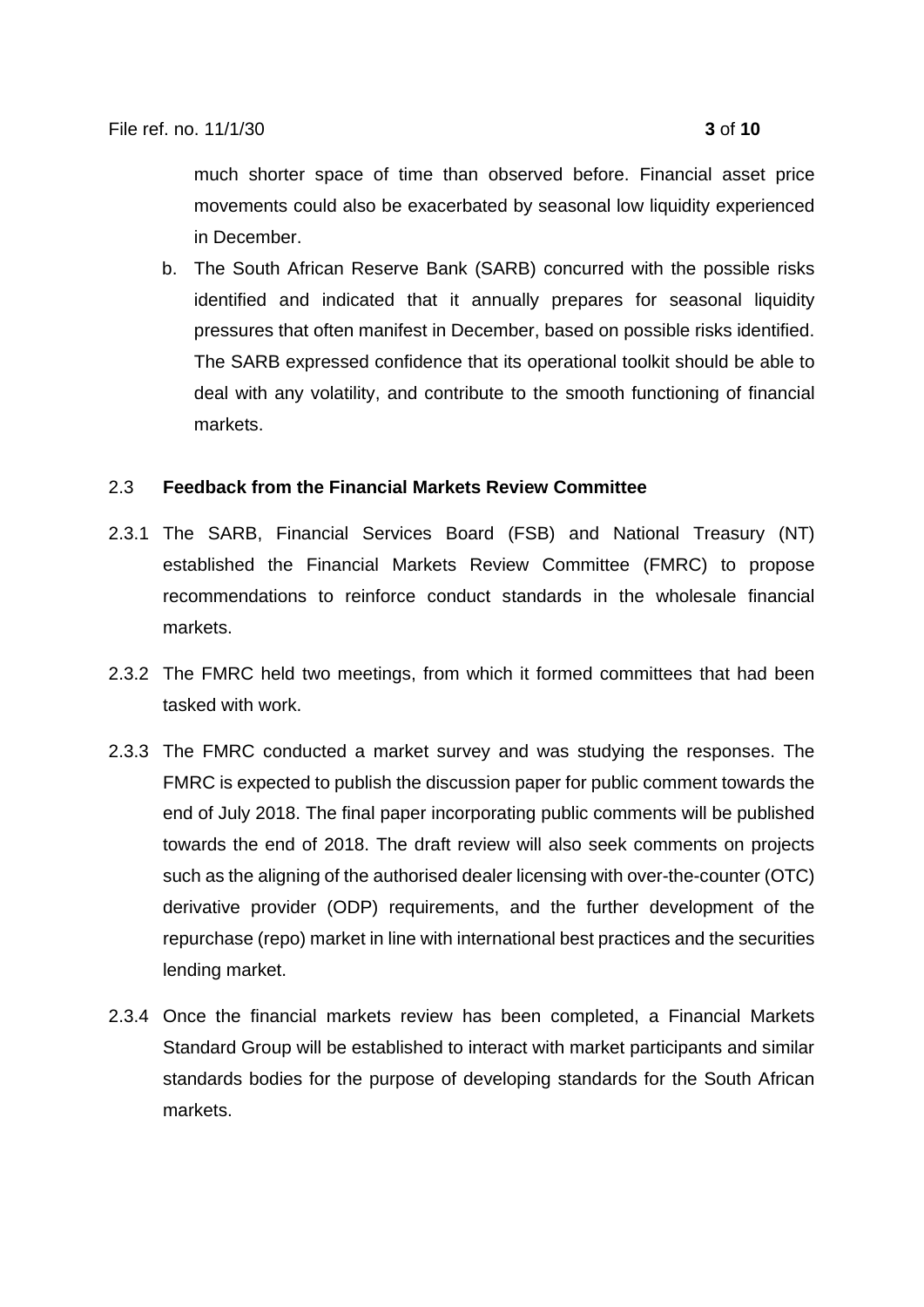much shorter space of time than observed before. Financial asset price movements could also be exacerbated by seasonal low liquidity experienced in December.

b. The South African Reserve Bank (SARB) concurred with the possible risks identified and indicated that it annually prepares for seasonal liquidity pressures that often manifest in December, based on possible risks identified. The SARB expressed confidence that its operational toolkit should be able to deal with any volatility, and contribute to the smooth functioning of financial markets.

### 2.3 **Feedback from the Financial Markets Review Committee**

- 2.3.1 The SARB, Financial Services Board (FSB) and National Treasury (NT) established the Financial Markets Review Committee (FMRC) to propose recommendations to reinforce conduct standards in the wholesale financial markets.
- 2.3.2 The FMRC held two meetings, from which it formed committees that had been tasked with work.
- 2.3.3 The FMRC conducted a market survey and was studying the responses. The FMRC is expected to publish the discussion paper for public comment towards the end of July 2018. The final paper incorporating public comments will be published towards the end of 2018. The draft review will also seek comments on projects such as the aligning of the authorised dealer licensing with over-the-counter (OTC) derivative provider (ODP) requirements, and the further development of the repurchase (repo) market in line with international best practices and the securities lending market.
- 2.3.4 Once the financial markets review has been completed, a Financial Markets Standard Group will be established to interact with market participants and similar standards bodies for the purpose of developing standards for the South African markets.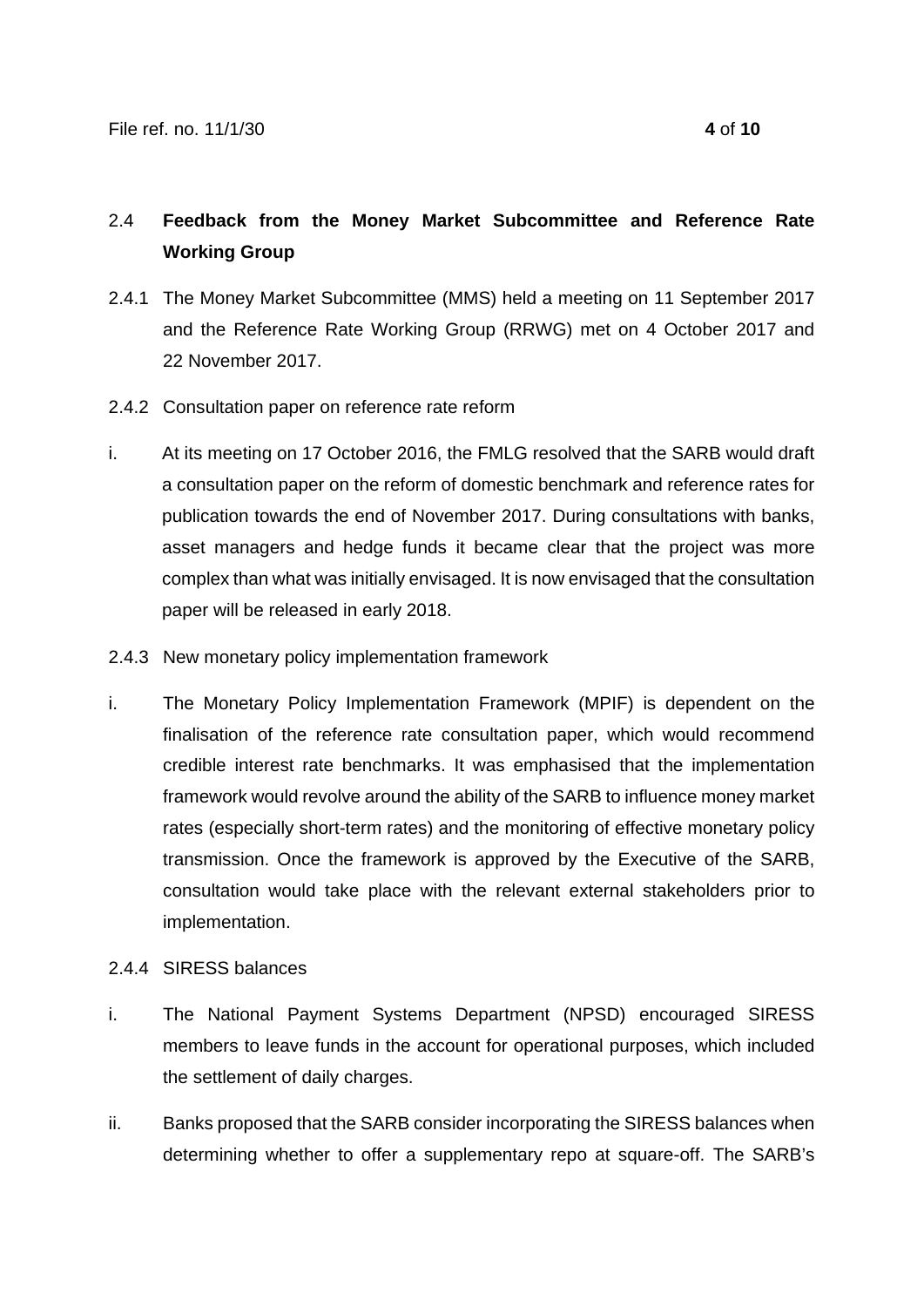# 2.4 **Feedback from the Money Market Subcommittee and Reference Rate Working Group**

- 2.4.1 The Money Market Subcommittee (MMS) held a meeting on 11 September 2017 and the Reference Rate Working Group (RRWG) met on 4 October 2017 and 22 November 2017.
- 2.4.2 Consultation paper on reference rate reform
- i. At its meeting on 17 October 2016, the FMLG resolved that the SARB would draft a consultation paper on the reform of domestic benchmark and reference rates for publication towards the end of November 2017. During consultations with banks, asset managers and hedge funds it became clear that the project was more complex than what was initially envisaged. It is now envisaged that the consultation paper will be released in early 2018.
- 2.4.3 New monetary policy implementation framework
- i. The Monetary Policy Implementation Framework (MPIF) is dependent on the finalisation of the reference rate consultation paper, which would recommend credible interest rate benchmarks. It was emphasised that the implementation framework would revolve around the ability of the SARB to influence money market rates (especially short-term rates) and the monitoring of effective monetary policy transmission. Once the framework is approved by the Executive of the SARB, consultation would take place with the relevant external stakeholders prior to implementation.
- 2.4.4 SIRESS balances
- i. The National Payment Systems Department (NPSD) encouraged SIRESS members to leave funds in the account for operational purposes, which included the settlement of daily charges.
- ii. Banks proposed that the SARB consider incorporating the SIRESS balances when determining whether to offer a supplementary repo at square-off. The SARB's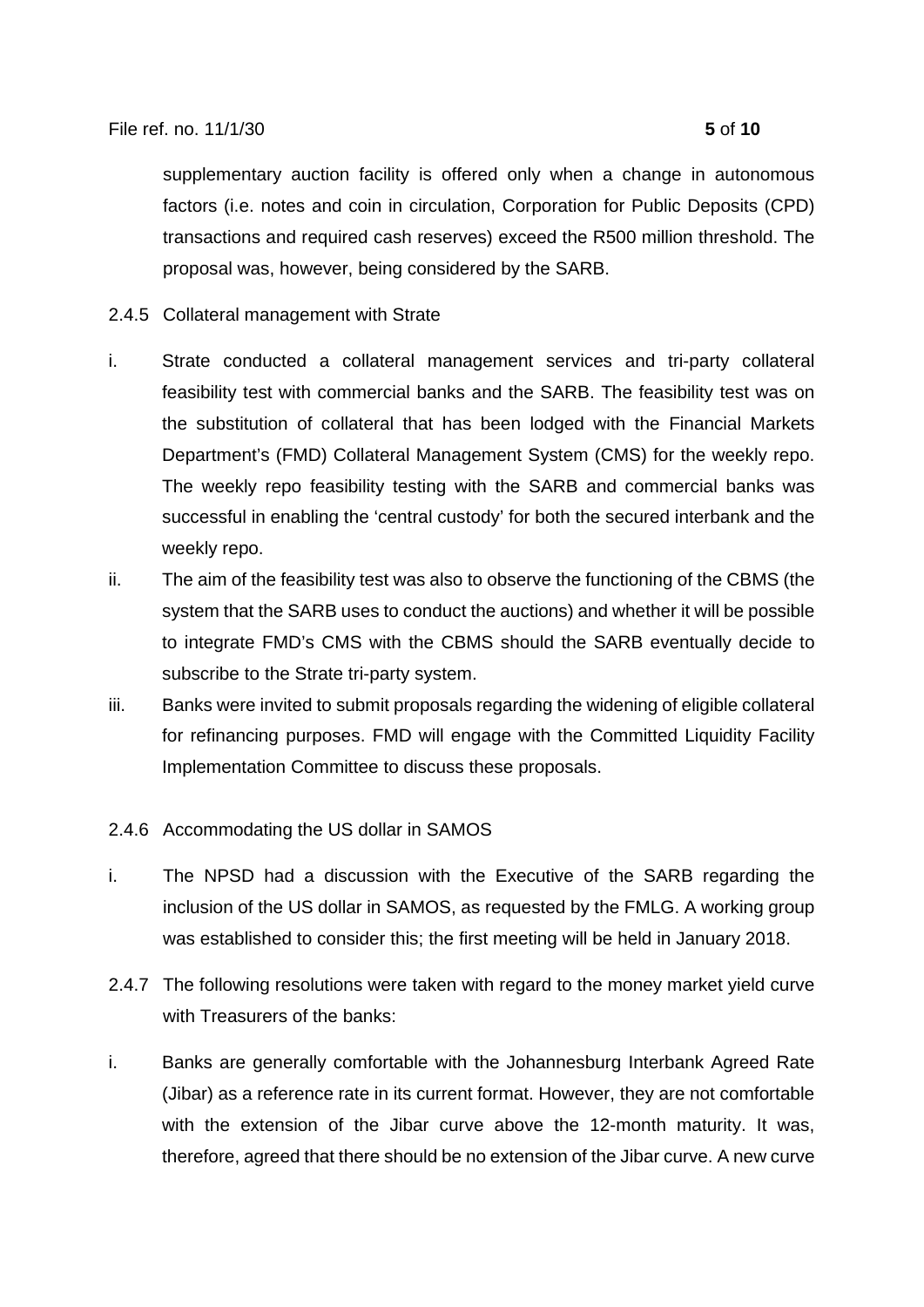supplementary auction facility is offered only when a change in autonomous factors (i.e. notes and coin in circulation, Corporation for Public Deposits (CPD) transactions and required cash reserves) exceed the R500 million threshold. The proposal was, however, being considered by the SARB.

# 2.4.5 Collateral management with Strate

- i. Strate conducted a collateral management services and tri-party collateral feasibility test with commercial banks and the SARB. The feasibility test was on the substitution of collateral that has been lodged with the Financial Markets Department's (FMD) Collateral Management System (CMS) for the weekly repo. The weekly repo feasibility testing with the SARB and commercial banks was successful in enabling the 'central custody' for both the secured interbank and the weekly repo.
- ii. The aim of the feasibility test was also to observe the functioning of the CBMS (the system that the SARB uses to conduct the auctions) and whether it will be possible to integrate FMD's CMS with the CBMS should the SARB eventually decide to subscribe to the Strate tri-party system.
- iii. Banks were invited to submit proposals regarding the widening of eligible collateral for refinancing purposes. FMD will engage with the Committed Liquidity Facility Implementation Committee to discuss these proposals.

# 2.4.6 Accommodating the US dollar in SAMOS

- i. The NPSD had a discussion with the Executive of the SARB regarding the inclusion of the US dollar in SAMOS, as requested by the FMLG. A working group was established to consider this; the first meeting will be held in January 2018.
- 2.4.7 The following resolutions were taken with regard to the money market yield curve with Treasurers of the banks:
- i. Banks are generally comfortable with the Johannesburg Interbank Agreed Rate (Jibar) as a reference rate in its current format. However, they are not comfortable with the extension of the Jibar curve above the 12-month maturity. It was, therefore, agreed that there should be no extension of the Jibar curve. A new curve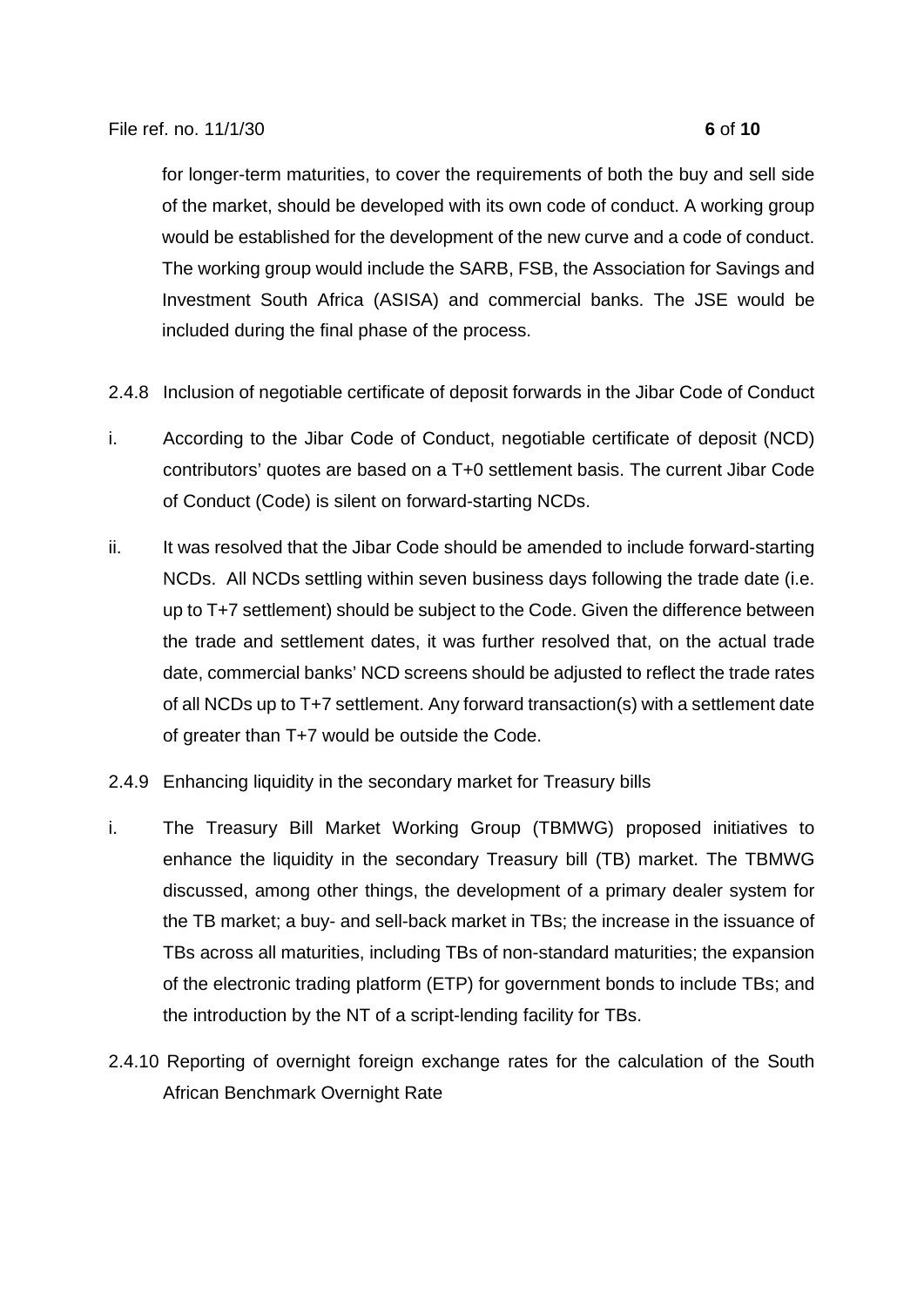for longer-term maturities, to cover the requirements of both the buy and sell side of the market, should be developed with its own code of conduct. A working group would be established for the development of the new curve and a code of conduct. The working group would include the SARB, FSB, the Association for Savings and Investment South Africa (ASISA) and commercial banks. The JSE would be included during the final phase of the process.

- 2.4.8 Inclusion of negotiable certificate of deposit forwards in the Jibar Code of Conduct
- i. According to the Jibar Code of Conduct, negotiable certificate of deposit (NCD) contributors' quotes are based on a T+0 settlement basis. The current Jibar Code of Conduct (Code) is silent on forward-starting NCDs.
- ii. It was resolved that the Jibar Code should be amended to include forward-starting NCDs. All NCDs settling within seven business days following the trade date (i.e. up to T+7 settlement) should be subject to the Code. Given the difference between the trade and settlement dates, it was further resolved that, on the actual trade date, commercial banks' NCD screens should be adjusted to reflect the trade rates of all NCDs up to T+7 settlement. Any forward transaction(s) with a settlement date of greater than T+7 would be outside the Code.
- 2.4.9 Enhancing liquidity in the secondary market for Treasury bills
- i. The Treasury Bill Market Working Group (TBMWG) proposed initiatives to enhance the liquidity in the secondary Treasury bill (TB) market. The TBMWG discussed, among other things, the development of a primary dealer system for the TB market; a buy- and sell-back market in TBs; the increase in the issuance of TBs across all maturities, including TBs of non-standard maturities; the expansion of the electronic trading platform (ETP) for government bonds to include TBs; and the introduction by the NT of a script-lending facility for TBs.
- 2.4.10 Reporting of overnight foreign exchange rates for the calculation of the South African Benchmark Overnight Rate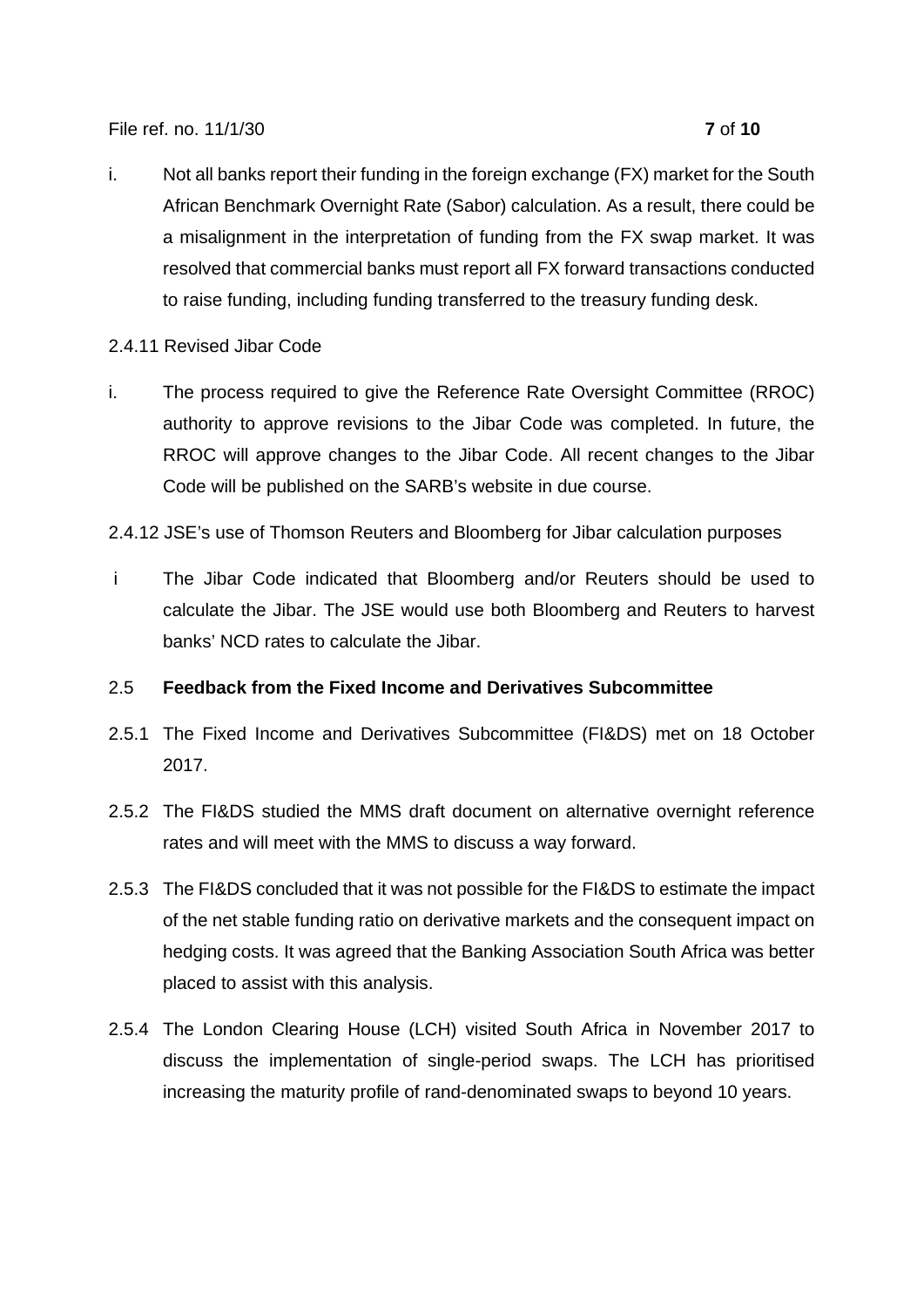File ref. no. 11/1/30 **7** of **10**

- i. Not all banks report their funding in the foreign exchange (FX) market for the South African Benchmark Overnight Rate (Sabor) calculation. As a result, there could be a misalignment in the interpretation of funding from the FX swap market. It was resolved that commercial banks must report all FX forward transactions conducted to raise funding, including funding transferred to the treasury funding desk.
- 2.4.11 Revised Jibar Code
- i. The process required to give the Reference Rate Oversight Committee (RROC) authority to approve revisions to the Jibar Code was completed. In future, the RROC will approve changes to the Jibar Code. All recent changes to the Jibar Code will be published on the SARB's website in due course.

2.4.12 JSE's use of Thomson Reuters and Bloomberg for Jibar calculation purposes

 i The Jibar Code indicated that Bloomberg and/or Reuters should be used to calculate the Jibar. The JSE would use both Bloomberg and Reuters to harvest banks' NCD rates to calculate the Jibar.

# 2.5 **Feedback from the Fixed Income and Derivatives Subcommittee**

- 2.5.1 The Fixed Income and Derivatives Subcommittee (FI&DS) met on 18 October 2017.
- 2.5.2 The FI&DS studied the MMS draft document on alternative overnight reference rates and will meet with the MMS to discuss a way forward.
- 2.5.3 The FI&DS concluded that it was not possible for the FI&DS to estimate the impact of the net stable funding ratio on derivative markets and the consequent impact on hedging costs. It was agreed that the Banking Association South Africa was better placed to assist with this analysis.
- 2.5.4 The London Clearing House (LCH) visited South Africa in November 2017 to discuss the implementation of single-period swaps. The LCH has prioritised increasing the maturity profile of rand-denominated swaps to beyond 10 years.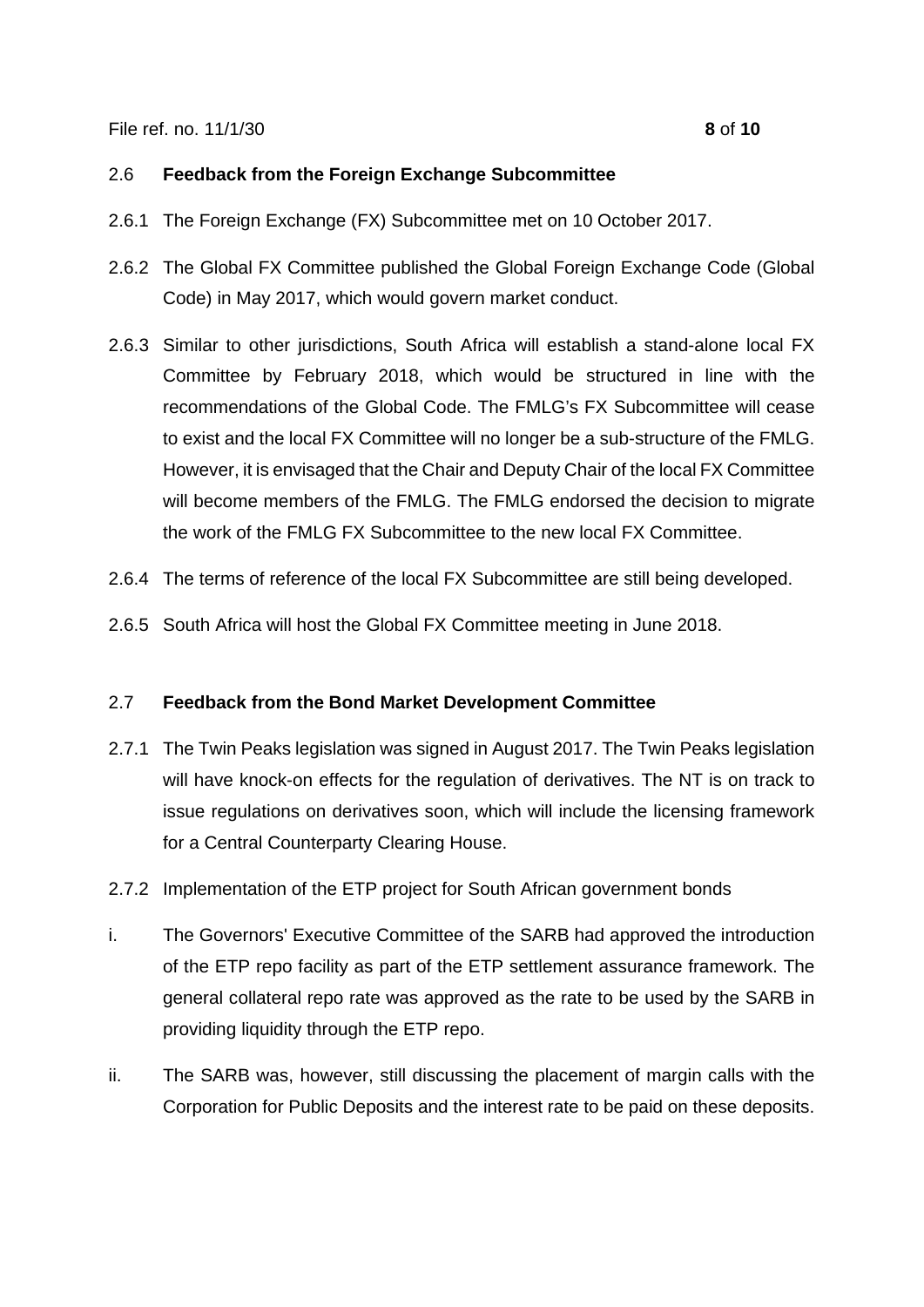#### File ref. no. 11/1/30 **8** of **10**

## 2.6 **Feedback from the Foreign Exchange Subcommittee**

- 2.6.1 The Foreign Exchange (FX) Subcommittee met on 10 October 2017.
- 2.6.2 The Global FX Committee published the Global Foreign Exchange Code (Global Code) in May 2017, which would govern market conduct.
- 2.6.3 Similar to other jurisdictions, South Africa will establish a stand-alone local FX Committee by February 2018, which would be structured in line with the recommendations of the Global Code. The FMLG's FX Subcommittee will cease to exist and the local FX Committee will no longer be a sub-structure of the FMLG. However, it is envisaged that the Chair and Deputy Chair of the local FX Committee will become members of the FMLG. The FMLG endorsed the decision to migrate the work of the FMLG FX Subcommittee to the new local FX Committee.
- 2.6.4 The terms of reference of the local FX Subcommittee are still being developed.
- 2.6.5 South Africa will host the Global FX Committee meeting in June 2018.

# 2.7 **Feedback from the Bond Market Development Committee**

- 2.7.1 The Twin Peaks legislation was signed in August 2017. The Twin Peaks legislation will have knock-on effects for the regulation of derivatives. The NT is on track to issue regulations on derivatives soon, which will include the licensing framework for a Central Counterparty Clearing House.
- 2.7.2 Implementation of the ETP project for South African government bonds
- i. The Governors' Executive Committee of the SARB had approved the introduction of the ETP repo facility as part of the ETP settlement assurance framework. The general collateral repo rate was approved as the rate to be used by the SARB in providing liquidity through the ETP repo.
- ii. The SARB was, however, still discussing the placement of margin calls with the Corporation for Public Deposits and the interest rate to be paid on these deposits.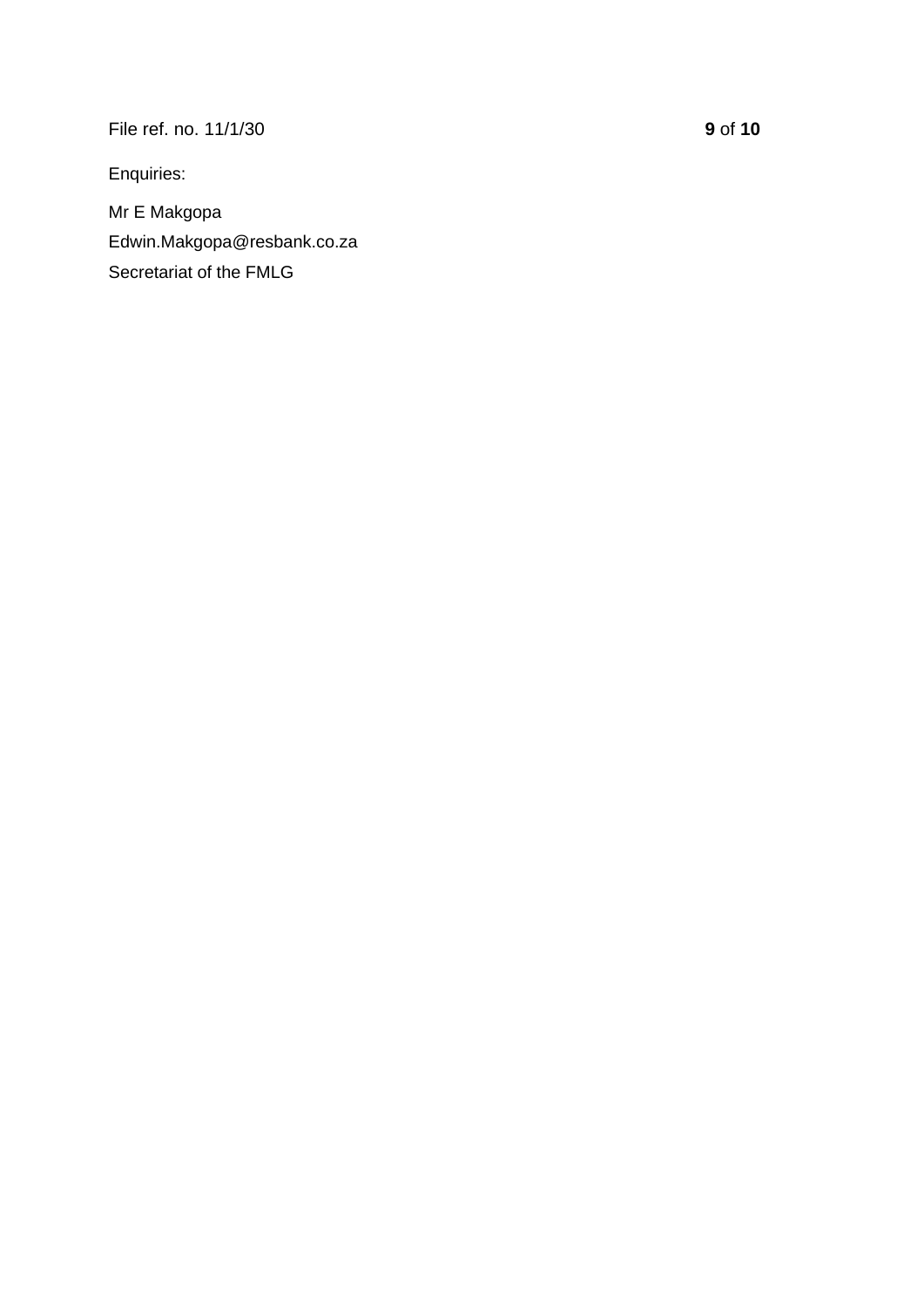File ref. no. 11/1/30 **9** of **10**

Enquiries:

Mr E Makgopa Edwin.Makgopa@resbank.co.za Secretariat of the FMLG